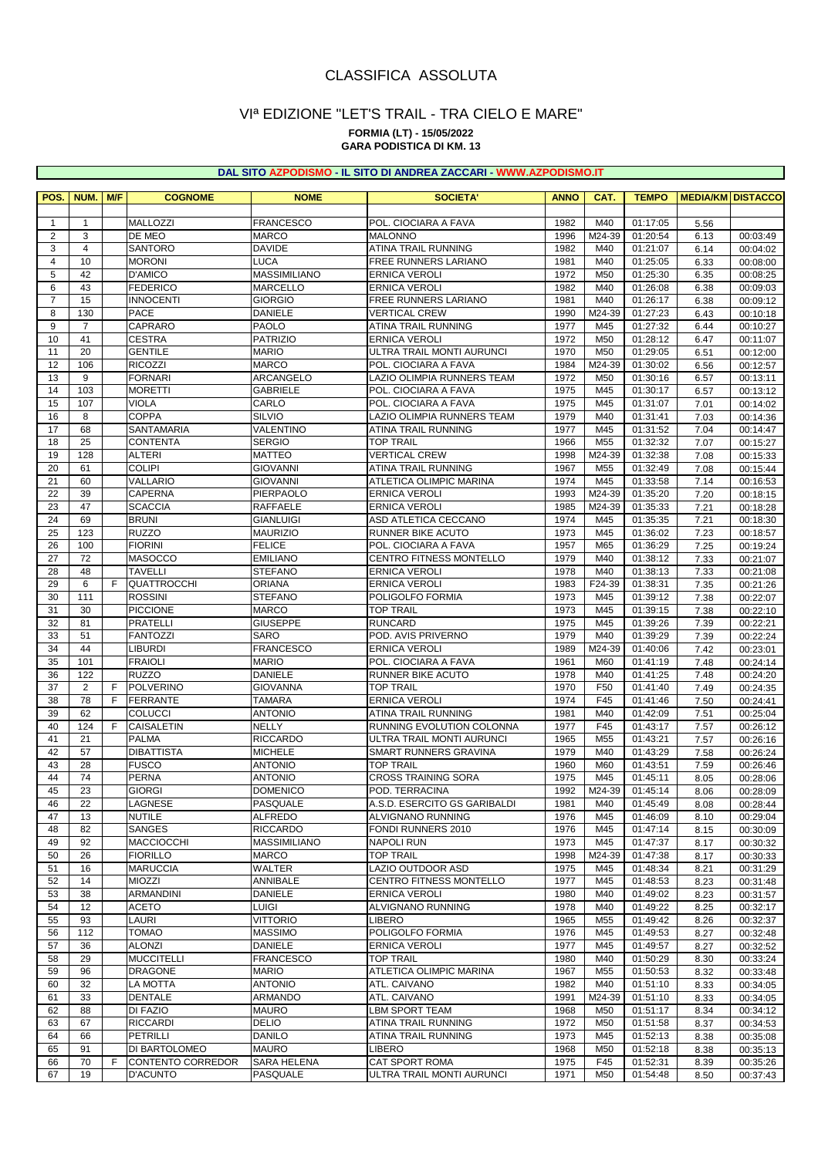## CLASSIFICA ASSOLUTA

## **FORMIA (LT) - 15/05/2022 GARA PODISTICA DI KM. 13** VIª EDIZIONE "LET'S TRAIL - TRA CIELO E MARE"

| DAL SITO AZPODISMO - IL SITO DI ANDREA ZACCARI - WWW.AZPODISMO.IT |                       |            |                                             |                                  |                                                   |              |                        |                      |              |                          |
|-------------------------------------------------------------------|-----------------------|------------|---------------------------------------------|----------------------------------|---------------------------------------------------|--------------|------------------------|----------------------|--------------|--------------------------|
| POS.                                                              | NUM.                  | <b>M/F</b> | <b>COGNOME</b>                              | <b>NOME</b>                      | <b>SOCIETA'</b>                                   | <b>ANNO</b>  | CAT.                   | <b>TEMPO</b>         |              | <b>MEDIA/KM DISTACCO</b> |
| 1                                                                 | 1                     |            | <b>MALLOZZI</b>                             | <b>FRANCESCO</b>                 | POL. CIOCIARA A FAVA                              | 1982         | M40                    | 01:17:05             | 5.56         |                          |
| 2                                                                 | 3                     |            | DE MEO                                      | <b>MARCO</b>                     | <b>MALONNO</b>                                    | 1996         | M24-39                 | 01:20:54             | 6.13         | 00:03:49                 |
| 3                                                                 | $\overline{4}$        |            | <b>SANTORO</b>                              | <b>DAVIDE</b>                    | ATINA TRAIL RUNNING                               | 1982         | M40                    | 01:21:07             | 6.14         | 00:04:02                 |
| $\overline{4}$                                                    | 10                    |            | <b>MORONI</b>                               | LUCA                             | FREE RUNNERS LARIANO                              | 1981         | M40                    | 01:25:05             | 6.33         | 00:08:00                 |
| 5                                                                 | 42                    |            | <b>D'AMICO</b>                              | <b>MASSIMILIANO</b>              | <b>ERNICA VEROLI</b>                              | 1972         | M50                    | 01:25:30             | 6.35         | 00:08:25                 |
| 6                                                                 | 43                    |            | <b>FEDERICO</b>                             | <b>MARCELLO</b>                  | <b>ERNICA VEROLI</b>                              | 1982         | M40                    | 01:26:08             | 6.38         | 00:09:03                 |
| $\overline{7}$                                                    | 15                    |            | <b>INNOCENTI</b>                            | <b>GIORGIO</b>                   | FREE RUNNERS LARIANO                              | 1981         | M40                    | 01:26:17             | 6.38         | 00:09:12                 |
| 8<br>9                                                            | 130<br>$\overline{7}$ |            | <b>PACE</b><br><b>CAPRARO</b>               | <b>DANIELE</b><br>PAOLO          | <b>VERTICAL CREW</b><br>ATINA TRAIL RUNNING       | 1990<br>1977 | M24-39<br>M45          | 01:27:23<br>01:27:32 | 6.43<br>6.44 | 00:10:18<br>00:10:27     |
| 10                                                                | 41                    |            | <b>CESTRA</b>                               | <b>PATRIZIO</b>                  | <b>ERNICA VEROLI</b>                              | 1972         | M50                    | 01:28:12             | 6.47         | 00:11:07                 |
| 11                                                                | 20                    |            | <b>GENTILE</b>                              | <b>MARIO</b>                     | ULTRA TRAIL MONTI AURUNCI                         | 1970         | M50                    | 01:29:05             | 6.51         | 00:12:00                 |
| 12                                                                | 106                   |            | <b>RICOZZI</b>                              | <b>MARCO</b>                     | POL. CIOCIARA A FAVA                              | 1984         | M24-39                 | 01:30:02             | 6.56         | 00:12:57                 |
| 13                                                                | 9                     |            | <b>FORNARI</b>                              | <b>ARCANGELO</b>                 | LAZIO OLIMPIA RUNNERS TEAM                        | 1972         | M50                    | 01:30:16             | 6.57         | 00:13:11                 |
| 14                                                                | 103                   |            | <b>MORETTI</b>                              | <b>GABRIELE</b>                  | POL. CIOCIARA A FAVA                              | 1975         | M45                    | 01:30:17             | 6.57         | 00:13:12                 |
| 15                                                                | 107                   |            | <b>VIOLA</b>                                | CARLO                            | POL. CIOCIARA A FAVA                              | 1975         | M45                    | 01:31:07             | 7.01         | 00:14:02                 |
| 16                                                                | 8                     |            | <b>COPPA</b>                                | <b>SILVIO</b>                    | LAZIO OLIMPIA RUNNERS TEAM                        | 1979         | M40                    | 01:31:41             | 7.03         | 00:14:36                 |
| 17                                                                | 68<br>25              |            | SANTAMARIA                                  | VALENTINO                        | ATINA TRAIL RUNNING                               | 1977         | M45<br>M <sub>55</sub> | 01:31:52<br>01:32:32 | 7.04         | 00:14:47                 |
| 18<br>19                                                          | 128                   |            | <b>CONTENTA</b><br>ALTERI                   | <b>SERGIO</b><br><b>MATTEO</b>   | <b>TOP TRAIL</b><br><b>VERTICAL CREW</b>          | 1966<br>1998 | M24-39                 | 01:32:38             | 7.07<br>7.08 | 00:15:27<br>00:15:33     |
| 20                                                                | 61                    |            | <b>COLIPI</b>                               | <b>GIOVANNI</b>                  | ATINA TRAIL RUNNING                               | 1967         | M55                    | 01:32:49             | 7.08         | 00:15:44                 |
| 21                                                                | 60                    |            | VALLARIO                                    | <b>GIOVANNI</b>                  | ATLETICA OLIMPIC MARINA                           | 1974         | M45                    | 01:33:58             | 7.14         | 00:16:53                 |
| 22                                                                | 39                    |            | <b>CAPERNA</b>                              | PIERPAOLO                        | <b>ERNICA VEROLI</b>                              | 1993         | M24-39                 | 01:35:20             | 7.20         | 00:18:15                 |
| 23                                                                | 47                    |            | <b>SCACCIA</b>                              | RAFFAELE                         | <b>ERNICA VEROLI</b>                              | 1985         | M24-39                 | 01:35:33             | 7.21         | 00:18:28                 |
| 24                                                                | 69                    |            | <b>BRUNI</b>                                | <b>GIANLUIGI</b>                 | ASD ATLETICA CECCANO                              | 1974         | M45                    | 01:35:35             | 7.21         | 00:18:30                 |
| 25                                                                | 123                   |            | <b>RUZZO</b>                                | <b>MAURIZIO</b>                  | RUNNER BIKE ACUTO                                 | 1973         | M45                    | 01:36:02             | 7.23         | 00:18:57                 |
| 26                                                                | 100                   |            | <b>FIORINI</b>                              | <b>FELICE</b>                    | POL. CIOCIARA A FAVA                              | 1957         | M65                    | 01:36:29             | 7.25         | 00:19:24                 |
| 27                                                                | 72                    |            | <b>MASOCCO</b>                              | <b>EMILIANO</b>                  | CENTRO FITNESS MONTELLO                           | 1979         | M40                    | 01:38:12             | 7.33         | 00:21:07                 |
| 28<br>29                                                          | 48<br>6               | F          | <b>TAVELLI</b><br><b>QUATTROCCHI</b>        | <b>STEFANO</b><br><b>ORIANA</b>  | <b>ERNICA VEROLI</b><br><b>ERNICA VEROLI</b>      | 1978<br>1983 | M40<br>F24-39          | 01:38:13<br>01:38:31 | 7.33<br>7.35 | 00:21:08<br>00:21:26     |
| 30                                                                | 111                   |            | <b>ROSSINI</b>                              | <b>STEFANO</b>                   | POLIGOLFO FORMIA                                  | 1973         | M45                    | 01:39:12             | 7.38         | 00:22:07                 |
| 31                                                                | 30                    |            | <b>PICCIONE</b>                             | <b>MARCO</b>                     | <b>TOP TRAIL</b>                                  | 1973         | M45                    | 01:39:15             | 7.38         | 00:22:10                 |
| 32                                                                | 81                    |            | <b>PRATELLI</b>                             | <b>GIUSEPPE</b>                  | <b>RUNCARD</b>                                    | 1975         | M45                    | 01:39:26             | 7.39         | 00:22:21                 |
| 33                                                                | 51                    |            | <b>FANTOZZI</b>                             | SARO                             | POD. AVIS PRIVERNO                                | 1979         | M40                    | 01:39:29             | 7.39         | 00:22:24                 |
| 34                                                                | 44                    |            | LIBURDI                                     | <b>FRANCESCO</b>                 | <b>ERNICA VEROLI</b>                              | 1989         | M24-39                 | 01:40:06             | 7.42         | 00:23:01                 |
| 35                                                                | 101                   |            | <b>FRAIOLI</b>                              | <b>MARIO</b>                     | POL. CIOCIARA A FAVA                              | 1961         | <b>M60</b>             | 01:41:19             | 7.48         | 00:24:14                 |
| 36                                                                | 122<br>2              | F          | <b>RUZZO</b>                                | DANIELE                          | RUNNER BIKE ACUTO                                 | 1978         | M40                    | 01:41:25             | 7.48         | 00:24:20                 |
| 37<br>38                                                          | 78                    | F          | <b>POLVERINO</b><br><b>FERRANTE</b>         | <b>GIOVANNA</b><br><b>TAMARA</b> | <b>TOP TRAIL</b><br><b>ERNICA VEROLI</b>          | 1970<br>1974 | F50<br>F45             | 01:41:40<br>01:41:46 | 7.49<br>7.50 | 00:24:35<br>00:24:41     |
| 39                                                                | 62                    |            | <b>COLUCCI</b>                              | <b>ANTONIO</b>                   | ATINA TRAIL RUNNING                               | 1981         | M40                    | 01:42:09             | 7.51         | 00:25:04                 |
| 40                                                                | 124                   | F          | <b>CAISALETIN</b>                           | NELLY                            | RUNNING EVOLUTION COLONNA                         | 1977         | F45                    | 01:43:17             | 7.57         | 00:26:12                 |
| 41                                                                | 21                    |            | <b>PALMA</b>                                | <b>RICCARDO</b>                  | ULTRA TRAIL MONTI AURUNCI                         | 1965         | M <sub>55</sub>        | 01:43:21             | 7.57         | 00:26:16                 |
| 42                                                                | 57                    |            | <b>DIBATTISTA</b>                           | <b>MICHELE</b>                   | SMART RUNNERS GRAVINA                             | 1979         | M40                    | 01:43:29             | 7.58         | 00:26:24                 |
| 43                                                                | 28                    |            | <b>FUSCO</b>                                | <b>ANTONIO</b>                   | <b>TOP TRAIL</b>                                  | 1960         | <b>M60</b>             | 01:43:51             | 7.59         | 00:26:46                 |
| 44                                                                | $\overline{74}$       |            | <b>PERNA</b>                                | <b>ANTONIO</b>                   | <b>CROSS TRAINING SORA</b>                        | 1975         | M45                    | 01:45:11             | 8.05         | 00:28:06                 |
| 45                                                                | 23                    |            | <b>GIORGI</b>                               | <b>DOMENICO</b>                  | POD. TERRACINA                                    | 1992         | M24-39                 | 01:45:14             | 8.06         | 00:28:09                 |
| 46<br>47                                                          | 22                    |            | LAGNESE<br><b>NUTILE</b>                    | PASQUALE<br>ALFREDO              | A.S.D. ESERCITO GS GARIBALDI<br>ALVIGNANO RUNNING | 1981         | M40<br>M45             | 01:45:49             | 8.08         | 00:28:44                 |
| 48                                                                | 13<br>82              |            | <b>SANGES</b>                               | <b>RICCARDO</b>                  | FONDI RUNNERS 2010                                | 1976<br>1976 | M45                    | 01:46:09<br>01:47:14 | 8.10<br>8.15 | 00:29:04<br>00:30:09     |
| 49                                                                | 92                    |            | <b>MACCIOCCHI</b>                           | MASSIMILIANO                     | <b>NAPOLI RUN</b>                                 | 1973         | M45                    | 01:47:37             | 8.17         | 00:30:32                 |
| 50                                                                | 26                    |            | <b>FIORILLO</b>                             | <b>MARCO</b>                     | TOP TRAIL                                         | 1998         | M24-39                 | 01:47:38             | 8.17         | 00:30:33                 |
| 51                                                                | 16                    |            | <b>MARUCCIA</b>                             | WALTER                           | LAZIO OUTDOOR ASD                                 | 1975         | M45                    | 01:48:34             | 8.21         | 00:31:29                 |
| 52                                                                | 14                    |            | <b>MIOZZI</b>                               | ANNIBALE                         | CENTRO FITNESS MONTELLO                           | 1977         | M45                    | 01:48:53             | 8.23         | 00:31:48                 |
| 53                                                                | 38                    |            | ARMANDINI                                   | DANIELE                          | <b>ERNICA VEROLI</b>                              | 1980         | M40                    | 01:49:02             | 8.23         | 00:31:57                 |
| 54                                                                | 12                    |            | ACETO                                       | LUIGI                            | ALVIGNANO RUNNING                                 | 1978         | M40                    | 01:49:22             | 8.25         | 00:32:17                 |
| 55                                                                | 93                    |            | LAURI                                       | VITTORIO                         | <b>LIBERO</b>                                     | 1965         | M <sub>55</sub>        | 01:49:42             | 8.26         | 00:32:37                 |
| 56                                                                | 112<br>36             |            | <b>TOMAO</b><br><b>ALONZI</b>               | <b>MASSIMO</b><br>DANIELE        | POLIGOLFO FORMIA<br><b>ERNICA VEROLI</b>          | 1976<br>1977 | M45<br>M45             | 01:49:53<br>01:49:57 | 8.27<br>8.27 | 00:32:48<br>00:32:52     |
| 57<br>58                                                          | 29                    |            | <b>MUCCITELLI</b>                           | <b>FRANCESCO</b>                 | <b>TOP TRAIL</b>                                  | 1980         | M40                    | 01:50:29             | 8.30         | 00:33:24                 |
| 59                                                                | 96                    |            | <b>DRAGONE</b>                              | <b>MARIO</b>                     | ATLETICA OLIMPIC MARINA                           | 1967         | M55                    | 01:50:53             | 8.32         | 00:33:48                 |
| 60                                                                | 32                    |            | LA MOTTA                                    | <b>ANTONIO</b>                   | ATL. CAIVANO                                      | 1982         | M40                    | 01:51:10             | 8.33         | 00:34:05                 |
| 61                                                                | 33                    |            | <b>DENTALE</b>                              | ARMANDO                          | ATL. CAIVANO                                      | 1991         | M24-39                 | 01:51:10             | 8.33         | 00:34:05                 |
| 62                                                                | 88                    |            | DI FAZIO                                    | <b>MAURO</b>                     | LBM SPORT TEAM                                    | 1968         | M50                    | 01:51:17             | 8.34         | 00:34:12                 |
| 63                                                                | 67                    |            | <b>RICCARDI</b>                             | DELIO                            | ATINA TRAIL RUNNING                               | 1972         | M50                    | 01:51:58             | 8.37         | 00:34:53                 |
| 64                                                                | 66                    |            | PETRILLI                                    | <b>DANILO</b>                    | ATINA TRAIL RUNNING                               | 1973         | M45                    | 01:52:13             | 8.38         | 00:35:08                 |
| 65                                                                | 91                    |            | DI BARTOLOMEO                               | <b>MAURO</b>                     | <b>LIBERO</b>                                     | 1968         | M50                    | 01:52:18             | 8.38         | 00:35:13                 |
| 66<br>67                                                          | 70<br>19              | F          | <b>CONTENTO CORREDOR</b><br><b>D'ACUNTO</b> | SARA HELENA<br><b>PASQUALE</b>   | CAT SPORT ROMA<br>ULTRA TRAIL MONTI AURUNCI       | 1975<br>1971 | F45<br>M50             | 01:52:31<br>01:54:48 | 8.39<br>8.50 | 00:35:26<br>00:37:43     |
|                                                                   |                       |            |                                             |                                  |                                                   |              |                        |                      |              |                          |